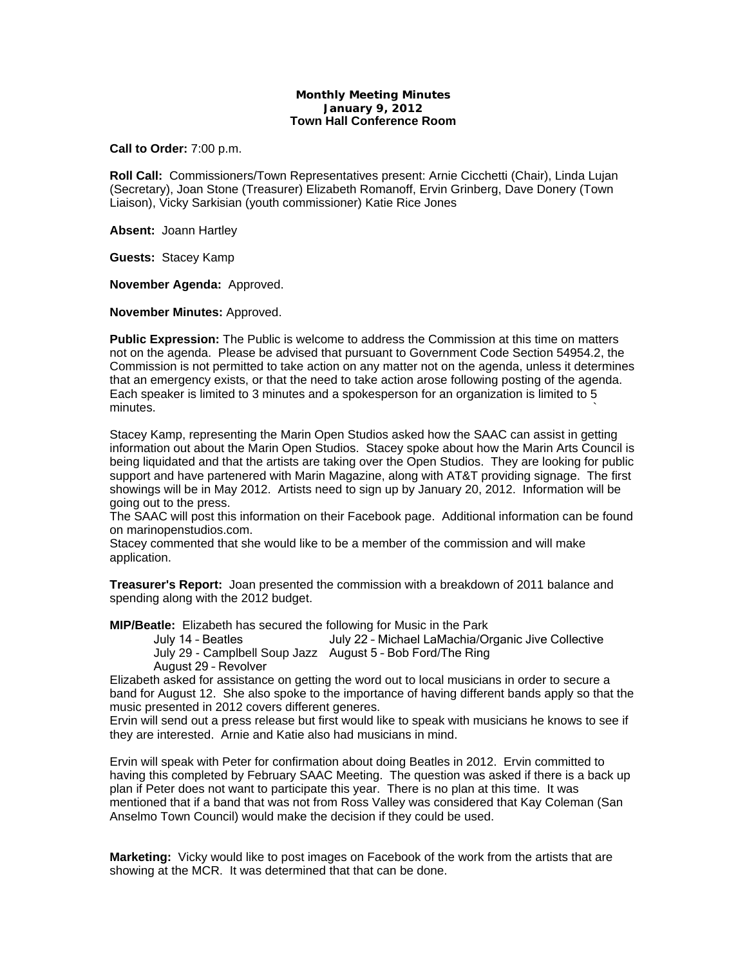## **Monthly Meeting Minutes January 9, 2012 Town Hall Conference Room**

**Call to Order:** 7:00 p.m.

**Roll Call:** Commissioners/Town Representatives present: Arnie Cicchetti (Chair), Linda Lujan (Secretary), Joan Stone (Treasurer) Elizabeth Romanoff, Ervin Grinberg, Dave Donery (Town Liaison), Vicky Sarkisian (youth commissioner) Katie Rice Jones

**Absent:** Joann Hartley

**Guests:** Stacey Kamp

**November Agenda:** Approved.

**November Minutes:** Approved.

**Public Expression:** The Public is welcome to address the Commission at this time on matters not on the agenda. Please be advised that pursuant to Government Code Section 54954.2, the Commission is not permitted to take action on any matter not on the agenda, unless it determines that an emergency exists, or that the need to take action arose following posting of the agenda. Each speaker is limited to 3 minutes and a spokesperson for an organization is limited to 5 minutes.  $\sim$ 

Stacey Kamp, representing the Marin Open Studios asked how the SAAC can assist in getting information out about the Marin Open Studios. Stacey spoke about how the Marin Arts Council is being liquidated and that the artists are taking over the Open Studios. They are looking for public support and have partenered with Marin Magazine, along with AT&T providing signage. The first showings will be in May 2012. Artists need to sign up by January 20, 2012. Information will be going out to the press.

The SAAC will post this information on their Facebook page. Additional information can be found on marinopenstudios.com.

Stacey commented that she would like to be a member of the commission and will make application.

**Treasurer's Report:** Joan presented the commission with a breakdown of 2011 balance and spending along with the 2012 budget.

**MIP/Beatle:** Elizabeth has secured the following for Music in the Park

July 14 – Beatles July 22 – Michael LaMachia/Organic Jive Collective July 29 - Camplbell Soup Jazz August 5 – Bob Ford/The Ring August 29 – Revolver

Elizabeth asked for assistance on getting the word out to local musicians in order to secure a band for August 12. She also spoke to the importance of having different bands apply so that the music presented in 2012 covers different generes.

Ervin will send out a press release but first would like to speak with musicians he knows to see if they are interested. Arnie and Katie also had musicians in mind.

Ervin will speak with Peter for confirmation about doing Beatles in 2012. Ervin committed to having this completed by February SAAC Meeting. The question was asked if there is a back up plan if Peter does not want to participate this year. There is no plan at this time. It was mentioned that if a band that was not from Ross Valley was considered that Kay Coleman (San Anselmo Town Council) would make the decision if they could be used.

**Marketing:** Vicky would like to post images on Facebook of the work from the artists that are showing at the MCR. It was determined that that can be done.